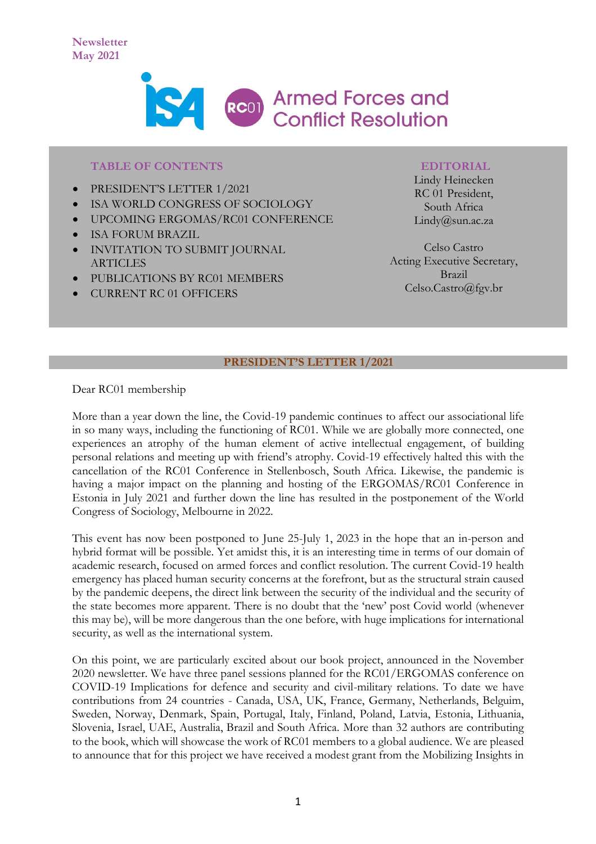

### **TABLE OF CONTENTS**

- PRESIDENT'S LETTER 1/2021
- ISA WORLD CONGRESS OF SOCIOLOGY
- UPCOMING ERGOMAS/RC01 CONFERENCE
- ISA FORUM BRAZIL
- INVITATION TO SUBMIT JOURNAL **ARTICLES**
- PUBLICATIONS BY RC01 MEMBERS
- CURRENT RC 01 OFFICERS

#### **EDITORIAL**

Lindy Heinecken RC 01 President, South Africa Lindy@sun.ac.za

Celso Castro Acting Executive Secretary, Brazil Celso.Castro@fgv.br

## **PRESIDENT'S LETTER 1/2021**

Dear RC01 membership

More than a year down the line, the Covid-19 pandemic continues to affect our associational life in so many ways, including the functioning of RC01. While we are globally more connected, one experiences an atrophy of the human element of active intellectual engagement, of building personal relations and meeting up with friend's atrophy. Covid-19 effectively halted this with the cancellation of the RC01 Conference in Stellenbosch, South Africa. Likewise, the pandemic is having a major impact on the planning and hosting of the ERGOMAS/RC01 Conference in Estonia in July 2021 and further down the line has resulted in the postponement of the World Congress of Sociology, Melbourne in 2022.

This event has now been postponed to June 25-July 1, 2023 in the hope that an in-person and hybrid format will be possible. Yet amidst this, it is an interesting time in terms of our domain of academic research, focused on armed forces and conflict resolution. The current Covid-19 health emergency has placed human security concerns at the forefront, but as the structural strain caused by the pandemic deepens, the direct link between the security of the individual and the security of the state becomes more apparent. There is no doubt that the 'new' post Covid world (whenever this may be), will be more dangerous than the one before, with huge implications for international security, as well as the international system.

On this point, we are particularly excited about our book project, announced in the November 2020 newsletter. We have three panel sessions planned for the RC01/ERGOMAS conference on COVID-19 Implications for defence and security and civil-military relations. To date we have contributions from 24 countries - Canada, USA, UK, France, Germany, Netherlands, Belguim, Sweden, Norway, Denmark, Spain, Portugal, Italy, Finland, Poland, Latvia, Estonia, Lithuania, Slovenia, Israel, UAE, Australia, Brazil and South Africa. More than 32 authors are contributing to the book, which will showcase the work of RC01 members to a global audience. We are pleased to announce that for this project we have received a modest grant from the Mobilizing Insights in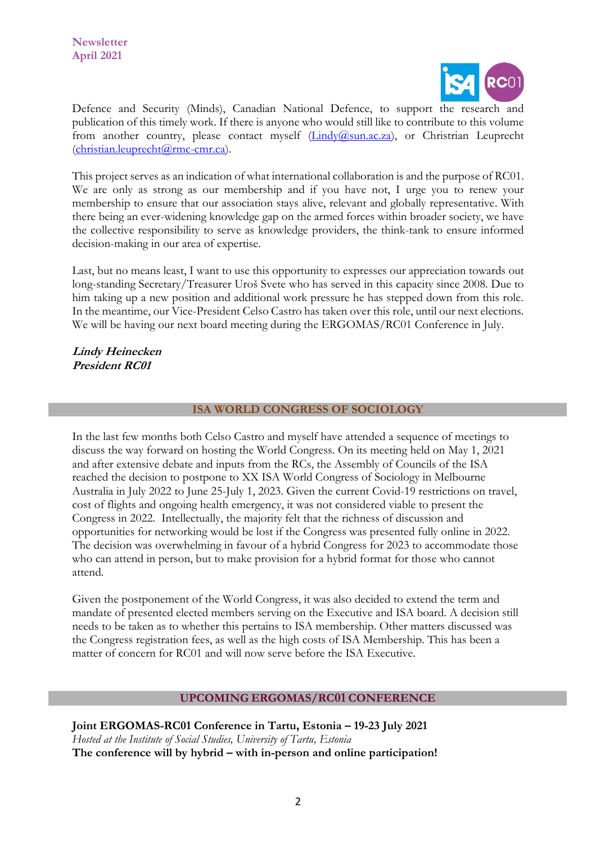

Defence and Security (Minds), Canadian National Defence, to support the research and publication of this timely work. If there is anyone who would still like to contribute to this volume from another country, please contact myself [\(Lindy@sun.ac.za\)](mailto:Lindy@sun.ac.za), or Christrian Leuprecht [\(christian.leuprecht@rmc-cmr.ca\)](mailto:christian.leuprecht@rmc-cmr.ca).

This project serves as an indication of what international collaboration is and the purpose of RC01. We are only as strong as our membership and if you have not, I urge you to renew your membership to ensure that our association stays alive, relevant and globally representative. With there being an ever-widening knowledge gap on the armed forces within broader society, we have the collective responsibility to serve as knowledge providers, the think-tank to ensure informed decision-making in our area of expertise.

Last, but no means least, I want to use this opportunity to expresses our appreciation towards out long-standing Secretary/Treasurer Uroš Svete who has served in this capacity since 2008. Due to him taking up a new position and additional work pressure he has stepped down from this role. In the meantime, our Vice-President Celso Castro has taken over this role, until our next elections. We will be having our next board meeting during the ERGOMAS/RC01 Conference in July.

**Lindy Heinecken President RC01**

## **ISA WORLD CONGRESS OF SOCIOLOGY**

In the last few months both Celso Castro and myself have attended a sequence of meetings to discuss the way forward on hosting the World Congress. On its meeting held on May 1, 2021 and after extensive debate and inputs from the RCs, the Assembly of Councils of the ISA reached the decision to postpone to XX ISA World Congress of Sociology in Melbourne Australia in July 2022 to June 25-July 1, 2023. Given the current Covid-19 restrictions on travel, cost of flights and ongoing health emergency, it was not considered viable to present the Congress in 2022. Intellectually, the majority felt that the richness of discussion and opportunities for networking would be lost if the Congress was presented fully online in 2022. The decision was overwhelming in favour of a hybrid Congress for 2023 to accommodate those who can attend in person, but to make provision for a hybrid format for those who cannot attend.

Given the postponement of the World Congress, it was also decided to extend the term and mandate of presented elected members serving on the Executive and ISA board. A decision still needs to be taken as to whether this pertains to ISA membership. Other matters discussed was the Congress registration fees, as well as the high costs of ISA Membership. This has been a matter of concern for RC01 and will now serve before the ISA Executive.

#### **UPCOMING ERGOMAS/RC01 CONFERENCE**

**Joint ERGOMAS-RC01 Conference in Tartu, Estonia – 19-23 July 2021** *Hosted at the Institute of Social Studies, University of Tartu, Estonia* **The conference will by hybrid – with in-person and online participation!**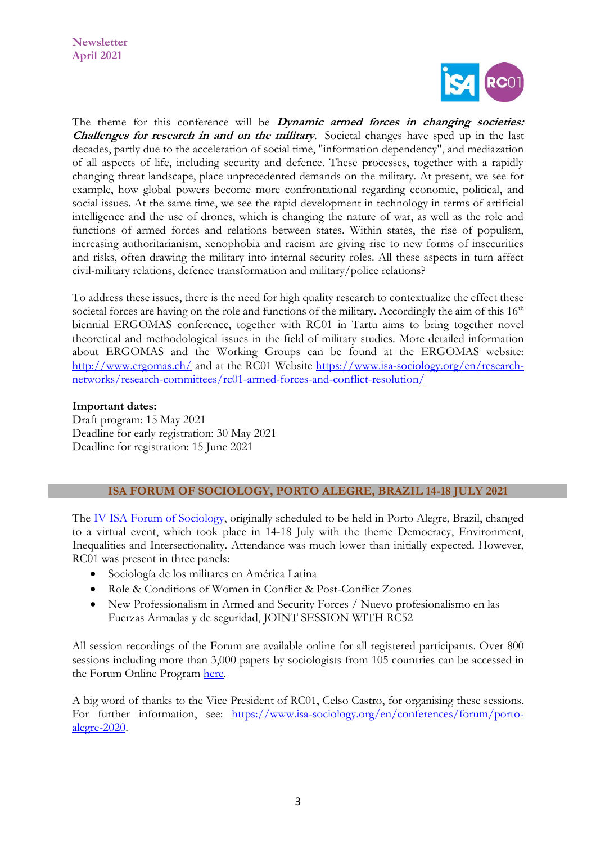

The theme for this conference will be **Dynamic armed forces in changing societies: Challenges for research in and on the military**. Societal changes have sped up in the last decades, partly due to the acceleration of social time, "information dependency", and mediazation of all aspects of life, including security and defence. These processes, together with a rapidly changing threat landscape, place unprecedented demands on the military. At present, we see for example, how global powers become more confrontational regarding economic, political, and social issues. At the same time, we see the rapid development in technology in terms of artificial intelligence and the use of drones, which is changing the nature of war, as well as the role and functions of armed forces and relations between states. Within states, the rise of populism, increasing authoritarianism, xenophobia and racism are giving rise to new forms of insecurities and risks, often drawing the military into internal security roles. All these aspects in turn affect civil-military relations, defence transformation and military/police relations?

To address these issues, there is the need for high quality research to contextualize the effect these societal forces are having on the role and functions of the military. Accordingly the aim of this  $16<sup>th</sup>$ biennial ERGOMAS conference, together with RC01 in Tartu aims to bring together novel theoretical and methodological issues in the field of military studies. More detailed information about ERGOMAS and the Working Groups can be found at the ERGOMAS website: [http://www.ergomas.ch/](https://eur03.safelinks.protection.outlook.com/?url=http%3A%2F%2Fwww.ergomas.ch%2F&data=04%7C01%7C%7C6df7487e3fcf467438bc08d909901c32%7Ca6fa3b030a3c42588433a120dffcd348%7C0%7C0%7C637551336881623794%7CUnknown%7CTWFpbGZsb3d8eyJWIjoiMC4wLjAwMDAiLCJQIjoiV2luMzIiLCJBTiI6Ik1haWwiLCJXVCI6Mn0%3D%7C1000&sdata=3%2Fu7G%2FEh16QcHnbjMXwvBjmvOFVVGs32m%2F1ovsBylsU%3D&reserved=0) and at the RC01 Website [https://www.isa-sociology.org/en/research](https://eur03.safelinks.protection.outlook.com/?url=https%3A%2F%2Fwww.isa-sociology.org%2Fen%2Fresearch-networks%2Fresearch-committees%2Frc01-armed-forces-and-conflict-resolution%2F&data=04%7C01%7C%7C6df7487e3fcf467438bc08d909901c32%7Ca6fa3b030a3c42588433a120dffcd348%7C0%7C0%7C637551336881623794%7CUnknown%7CTWFpbGZsb3d8eyJWIjoiMC4wLjAwMDAiLCJQIjoiV2luMzIiLCJBTiI6Ik1haWwiLCJXVCI6Mn0%3D%7C1000&sdata=kT%2FxiQoj7gmKyb736UB%2BCQaFQvVleSPSgP9Fp5aOgV8%3D&reserved=0)[networks/research-committees/rc01-armed-forces-and-conflict-resolution/](https://eur03.safelinks.protection.outlook.com/?url=https%3A%2F%2Fwww.isa-sociology.org%2Fen%2Fresearch-networks%2Fresearch-committees%2Frc01-armed-forces-and-conflict-resolution%2F&data=04%7C01%7C%7C6df7487e3fcf467438bc08d909901c32%7Ca6fa3b030a3c42588433a120dffcd348%7C0%7C0%7C637551336881623794%7CUnknown%7CTWFpbGZsb3d8eyJWIjoiMC4wLjAwMDAiLCJQIjoiV2luMzIiLCJBTiI6Ik1haWwiLCJXVCI6Mn0%3D%7C1000&sdata=kT%2FxiQoj7gmKyb736UB%2BCQaFQvVleSPSgP9Fp5aOgV8%3D&reserved=0) 

## **Important dates:**

Draft program: 15 May 2021 Deadline for early registration: 30 May 2021 Deadline for registration: 15 June 2021

## **ISA FORUM OF SOCIOLOGY, PORTO ALEGRE, BRAZIL 14-18 JULY 2021**

The [IV ISA Forum of Sociology,](https://nam10.safelinks.protection.outlook.com/?url=https%3A%2F%2Fwww.isa-sociology.org%2Fen%2Fconferences%2Fforum%2Fporto-alegre-2021&data=04%7C01%7CCelso.Castro%40fgv.br%7C7b8bfca0903e425059a908d90a1923d2%7C79f6b639ab1242808077bdbeef869b33%7C0%7C0%7C637551925384429652%7CUnknown%7CTWFpbGZsb3d8eyJWIjoiMC4wLjAwMDAiLCJQIjoiV2luMzIiLCJBTiI6Ik1haWwiLCJXVCI6Mn0%3D%7C1000&sdata=0bk%2BsiZxdhjrv9HzGYJg%2FSQdld5Ww8ZVaiEIGH%2BE308%3D&reserved=0) originally scheduled to be held in Porto Alegre, Brazil, changed to a virtual event, which took place in 14-18 July with the theme Democracy, Environment, Inequalities and Intersectionality. Attendance was much lower than initially expected. However, RC01 was present in three panels:

- Sociología de los militares en América Latina
- Role & Conditions of Women in Conflict & Post-Conflict Zones
- New Professionalism in Armed and Security Forces / Nuevo profesionalismo en las Fuerzas Armadas y de seguridad, JOINT SESSION WITH RC52

All session recordings of the Forum are available online for all registered participants. Over 800 sessions including more than 3,000 papers by sociologists from 105 countries can be accessed in the Forum Online Program [here.](https://nam10.safelinks.protection.outlook.com/?url=https%3A%2F%2Fisaconf.confex.com%2Fisaconf%2Fforum2020%2Fmeetingapp.cgi&data=04%7C01%7CCelso.Castro%40fgv.br%7C7b8bfca0903e425059a908d90a1923d2%7C79f6b639ab1242808077bdbeef869b33%7C0%7C0%7C637551925384429652%7CUnknown%7CTWFpbGZsb3d8eyJWIjoiMC4wLjAwMDAiLCJQIjoiV2luMzIiLCJBTiI6Ik1haWwiLCJXVCI6Mn0%3D%7C1000&sdata=oP%2BZrIC3qGjBchv4apvPxd9H8TFRV3w1C%2FZEqWkQ70I%3D&reserved=0)

A big word of thanks to the Vice President of RC01, Celso Castro, for organising these sessions. For further information, see: [https://www.isa-sociology.org/en/conferences/forum/porto](https://www.isa-sociology.org/en/conferences/forum/porto-alegre-2020)[alegre-2020.](https://www.isa-sociology.org/en/conferences/forum/porto-alegre-2020)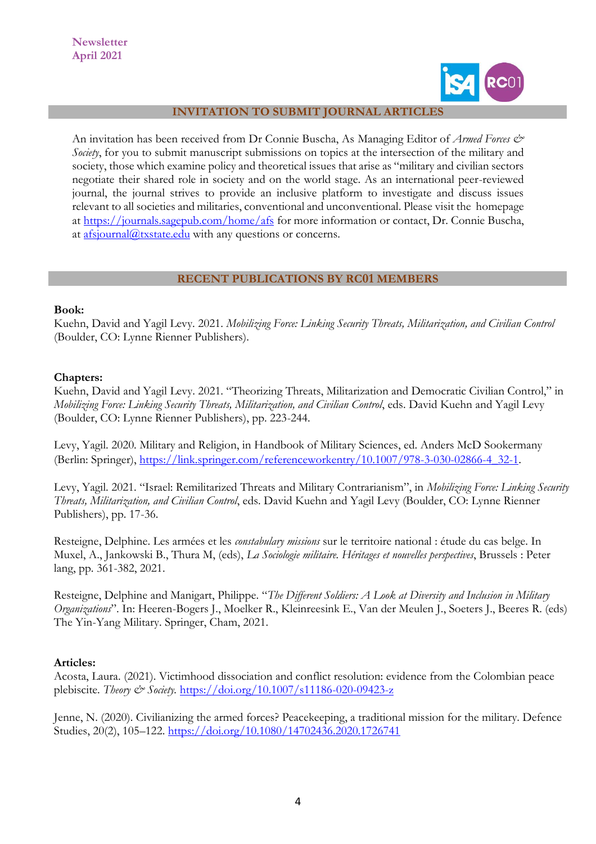**Newsletter April 2021**



#### **INVITATION TO SUBMIT JOURNAL ARTICLES**

An invitation has been received from Dr Connie Buscha, As Managing Editor of *Armed Forces & Society*, for you to submit manuscript submissions on topics at the intersection of the military and society, those which examine policy and theoretical issues that arise as "military and civilian sectors negotiate their shared role in society and on the world stage. As an international peer-reviewed journal, the journal strives to provide an inclusive platform to investigate and discuss issues relevant to all societies and militaries, conventional and unconventional. Please visit the homepage at [https://journals.sagepub.com/home/afs](https://nam10.safelinks.protection.outlook.com/?url=https%3A%2F%2Fjournals.sagepub.com%2Fhome%2Fafs&data=04%7C01%7CCelso.Castro%40fgv.br%7C0f7c107040714d64bd8e08d8ea45fbb1%7C79f6b639ab1242808077bdbeef869b33%7C0%7C0%7C637516933617975360%7CUnknown%7CTWFpbGZsb3d8eyJWIjoiMC4wLjAwMDAiLCJQIjoiV2luMzIiLCJBTiI6Ik1haWwiLCJXVCI6Mn0%3D%7C1000&sdata=A3KmsF4Fh2RH8kf4lEgZ3YH0aIQTN3mxKY4QRHD2HxA%3D&reserved=0) for more information or contact, Dr. Connie Buscha, at  $\frac{a}{\text{is}journal}$  *(a)* txstate.edu with any questions or concerns.

#### **RECENT PUBLICATIONS BY RC01 MEMBERS**

#### **Book:**

Kuehn, David and Yagil Levy. 2021. *Mobilizing Force: Linking Security Threats, Militarization, and Civilian Control*  (Boulder, CO: Lynne Rienner Publishers).

#### **Chapters:**

Kuehn, David and Yagil Levy. 2021. "Theorizing Threats, Militarization and Democratic Civilian Control," in *Mobilizing Force: Linking Security Threats, Militarization, and Civilian Control*, eds. David Kuehn and Yagil Levy (Boulder, CO: Lynne Rienner Publishers), pp. 223-244.

Levy, Yagil. 2020. Military and Religion, in Handbook of Military Sciences, ed. Anders McD Sookermany (Berlin: Springer), [https://link.springer.com/referenceworkentry/10.1007/978-3-030-02866-4\\_32-1](https://link.springer.com/referenceworkentry/10.1007/978-3-030-02866-4_32-1).

Levy, Yagil. 2021. "Israel: Remilitarized Threats and Military Contrarianism", in *Mobilizing Force: Linking Security Threats, Militarization, and Civilian Control*, eds. David Kuehn and Yagil Levy (Boulder, CO: Lynne Rienner Publishers), pp. 17-36.

Resteigne, Delphine. Les armées et les *constabulary missions* sur le territoire national : étude du cas belge. In Muxel, A., Jankowski B., Thura M, (eds), *La Sociologie militaire. Héritages et nouvelles perspectives*, Brussels : Peter lang, pp. 361-382, 2021.

Resteigne, Delphine and Manigart, Philippe. "*The Different Soldiers: A Look at Diversity and Inclusion in Military Organizations*". In: Heeren-Bogers J., Moelker R., Kleinreesink E., Van der Meulen J., Soeters J., Beeres R. (eds) The Yin-Yang Military. Springer, Cham, 2021.

#### **Articles:**

Acosta, Laura. (2021). Victimhood dissociation and conflict resolution: evidence from the Colombian peace plebiscite. *Theory & Society.* [https://doi.org/10.1007/s11186-020-09423-z](https://nam10.safelinks.protection.outlook.com/?url=https%3A%2F%2Fdoi.org%2F10.1007%2Fs11186-020-09423-z&data=04%7C01%7CCelso.Castro%40fgv.br%7C42d9b6dd846c4b6bbca508d8e9ff932f%7C79f6b639ab1242808077bdbeef869b33%7C0%7C0%7C637516631225070755%7CUnknown%7CTWFpbGZsb3d8eyJWIjoiMC4wLjAwMDAiLCJQIjoiV2luMzIiLCJBTiI6Ik1haWwiLCJXVCI6Mn0%3D%7C1000&sdata=PWqNGo6rApwC5%2FbqiBmx1HwIo22l52%2BWUVZ0H9%2FkQ5E%3D&reserved=0)

Jenne, N. (2020). Civilianizing the armed forces? Peacekeeping, a traditional mission for the military. Defence Studies, 20(2), 105–122. [https://doi.org/10.1080/14702436.2020.1726741](https://nam10.safelinks.protection.outlook.com/?url=https%3A%2F%2Fdoi.org%2F10.1080%2F14702436.2020.1726741&data=04%7C01%7CCelso.Castro%40fgv.br%7C8f219bb633654222247b08d8e9a56ef6%7C79f6b639ab1242808077bdbeef869b33%7C0%7C0%7C637516244055930976%7CUnknown%7CTWFpbGZsb3d8eyJWIjoiMC4wLjAwMDAiLCJQIjoiV2luMzIiLCJBTiI6Ik1haWwiLCJXVCI6Mn0%3D%7C1000&sdata=KNbpgbfH2K6NCMdPN4Xnea%2FzY5%2BfknumFsRUpBIEk3U%3D&reserved=0)